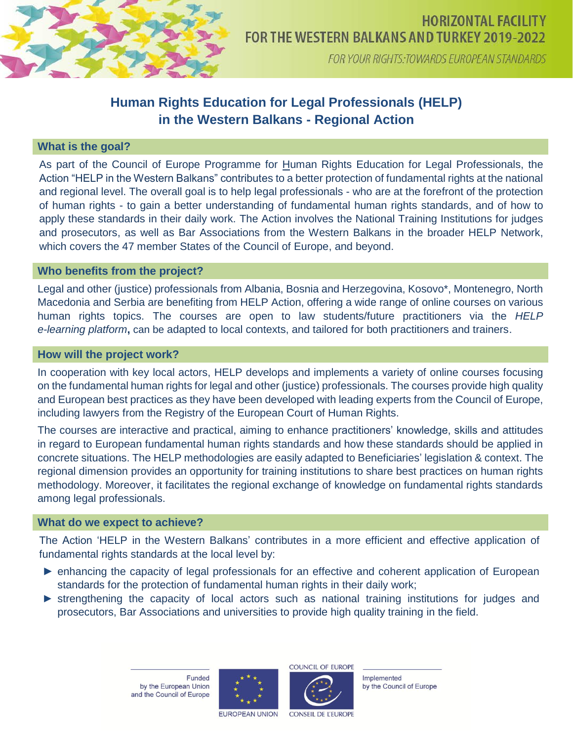

FOR YOUR RIGHTS: TOWARDS EUROPEAN STANDARDS

# **Human Rights Education for Legal Professionals (HELP) in the Western Balkans - Regional Action**

### **What is the goal?**

As part of the Council of Europe Programme for Human Rights Education for Legal Professionals, the Action "HELP in the Western Balkans" contributes to a better protection of fundamental rights at the national and regional level. The overall goal is to help legal professionals - who are at the forefront of the protection of human rights - to gain a better understanding of fundamental human rights standards, and of how to apply these standards in their daily work. The Action involves the National Training Institutions for judges and prosecutors, as well as Bar Associations from the Western Balkans in the broader HELP Network, which covers the 47 member States of the Council of Europe, and beyond.

#### **Who benefits from the project?**

Legal and other (justice) professionals from Albania, Bosnia and Herzegovina, Kosovo\*, Montenegro, North Macedonia and Serbia are benefiting from HELP Action, offering a wide range of online courses on various human rights topics. The courses are open to law students/future practitioners via the *HELP e-learning platform***,** can be adapted to local contexts, and tailored for both practitioners and trainers.

#### **How will the project work?**

In cooperation with key local actors, HELP develops and implements a variety of online courses focusing on the fundamental human rights for legal and other (justice) professionals. The courses provide high quality and European best practices as they have been developed with leading experts from the Council of Europe, including lawyers from the Registry of the European Court of Human Rights.

The courses are interactive and practical, aiming to enhance practitioners' knowledge, skills and attitudes in regard to European fundamental human rights standards and how these standards should be applied in concrete situations. The HELP methodologies are easily adapted to Beneficiaries' legislation & context. The regional dimension provides an opportunity for training institutions to share best practices on human rights methodology. Moreover, it facilitates the regional exchange of knowledge on fundamental rights standards among legal professionals.

#### **What do we expect to achieve?**

The Action 'HELP in the Western Balkans' contributes in a more efficient and effective application of fundamental rights standards at the local level by:

- ► enhancing the capacity of legal professionals for an effective and coherent application of European standards for the protection of fundamental human rights in their daily work;
- ► strengthening the capacity of local actors such as national training institutions for judges and prosecutors, Bar Associations and universities to provide high quality training in the field.

**Funded** by the European Union and the Council of Europe





Implemented by the Council of Europe

**EUROPEAN UNION** 

**CONSEIL DE L'EUROPE**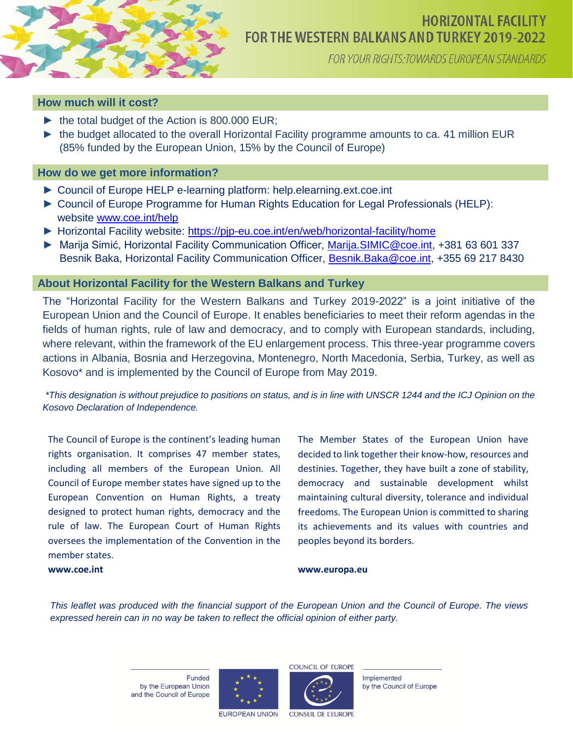

## **HORIZONTAL FACILITY** FOR THE WESTERN BALKANS AND TURKEY 2019-2022

FOR YOUR RIGHTS: TOWARDS EUROPEAN STANDARDS

### **How much will it cost?**

- ► the total budget of the Action is 800.000 EUR;
- ► the budget allocated to the overall Horizontal Facility programme amounts to ca. 41 million EUR (85% funded by the European Union, 15% by the Council of Europe)

### **How do we get more information?**

- ► Council of Europe HELP e-learning platform: help.elearning.ext.coe.int
- ► Council of Europe Programme for Human Rights Education for Legal Professionals (HELP): website [www.coe.int/help](http://www.coe.int/help)
- ► Horizontal Facility website:<https://pjp-eu.coe.int/en/web/horizontal-facility/home>
- ► Marija Simić, Horizontal Facility Communication Officer, [Marija.SIMIC@coe.int,](mailto:Marija.SIMIC@coe.int) +381 63 601 337 Besnik Baka, Horizontal Facility Communication Officer, [Besnik.Baka@coe.int,](mailto:Besnik.Baka@coe.int) +355 69 217 8430

#### **About Horizontal Facility for the Western Balkans and Turkey**

The "Horizontal Facility for the Western Balkans and Turkey 2019-2022" is a joint initiative of the European Union and the Council of Europe. It enables beneficiaries to meet their reform agendas in the fields of human rights, rule of law and democracy, and to comply with European standards, including, where relevant, within the framework of the EU enlargement process. This three-year programme covers actions in Albania, Bosnia and Herzegovina, Montenegro, North Macedonia, Serbia, Turkey, as well as Kosovo\* and is implemented by the Council of Europe from May 2019.

*\*This designation is without prejudice to positions on status, and is in line with UNSCR 1244 and the ICJ Opinion on the Kosovo Declaration of Independence.*

The Council of Europe is the continent's leading human rights organisation. It comprises 47 member states, including all members of the European Union. All Council of Europe member states have signed up to the European Convention on Human Rights, a treaty designed to protect human rights, democracy and the rule of law. The European Court of Human Rights oversees the implementation of the Convention in the member states.

The Member States of the European Union have decided to link together their know-how, resources and destinies. Together, they have built a zone of stability, democracy and sustainable development whilst maintaining cultural diversity, tolerance and individual freedoms. The European Union is committed to sharing its achievements and its values with countries and peoples beyond its borders.

#### **[www.coe.int](http://www.coe.int/)**

#### **[www.europa.eu](http://www.europa.eu/)**

*This leaflet was produced with the financial support of the European Union and the Council of Europe. The views expressed herein can in no way be taken to reflect the official opinion of either party.*

> **Funded** by the European Union and the Council of Europe





Implemented by the Council of Europe

**EUROPEAN UNION** 

**CONSEIL DE L'EUROPE**